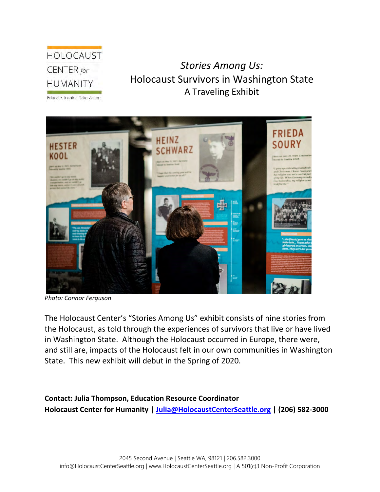# HOLOCAUST CENTER for **HUMANITY**

## *Stories Among Us:*  Holocaust Survivors in Washington State A Traveling Exhibit

Educate. Inspire. Take Action.



*Photo: Connor Ferguson*

The Holocaust Center's "Stories Among Us" exhibit consists of nine stories from the Holocaust, as told through the experiences of survivors that live or have lived in Washington State. Although the Holocaust occurred in Europe, there were, and still are, impacts of the Holocaust felt in our own communities in Washington State. This new exhibit will debut in the Spring of 2020.

**Contact: Julia Thompson, Education Resource Coordinator Holocaust Center for Humanity | [Julia@HolocaustCenterSeattle.org](mailto:Julia@HolocaustCenterSeattle.org) | (206) 582-3000**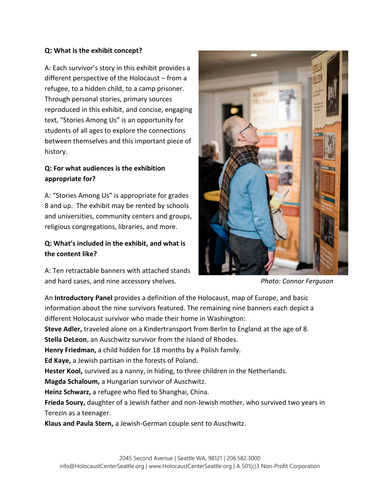#### **Q: What is the exhibit concept?**

A: Each survivor's story in this exhibit provides a different perspective of the Holocaust – from a refugee, to a hidden child, to a camp prisoner. Through personal stories, primary sources reproduced in this exhibit, and concise, engaging text, "Stories Among Us" is an opportunity for students of all ages to explore the connections between themselves and this important piece of history.

### **Q: For what audiences is the exhibition appropriate for?**

A: "Stories Among Us" is appropriate for grades 8 and up. The exhibit may be rented by schools and universities, community centers and groups, religious congregations, libraries, and more.

#### **Q: What's included in the exhibit, and what is the content like?**

A: Ten retractable banners with attached stands and hard cases, and nine accessory shelves. *Photo: Connor Ferguson*



An **Introductory Panel** provides a definition of the Holocaust, map of Europe, and basic information about the nine survivors featured. The remaining nine banners each depict a different Holocaust survivor who made their home in Washington:

**Steve Adler,** traveled alone on a Kindertransport from Berlin to England at the age of 8.

**Stella DeLeon**, an Auschwitz survivor from the Island of Rhodes.

**Henry Friedman,** a child hidden for 18 months by a Polish family.

**Ed Kaye,** a Jewish partisan in the forests of Poland.

**Hester Kool,** survived as a nanny, in hiding, to three children in the Netherlands.

**Magda Schaloum,** a Hungarian survivor of Auschwitz.

**Heinz Schwarz,** a refugee who fled to Shanghai, China.

**Frieda Soury,** daughter of a Jewish father and non-Jewish mother, who survived two years in Terezin as a teenager.

**Klaus and Paula Stern,** a Jewish-German couple sent to Auschwitz.